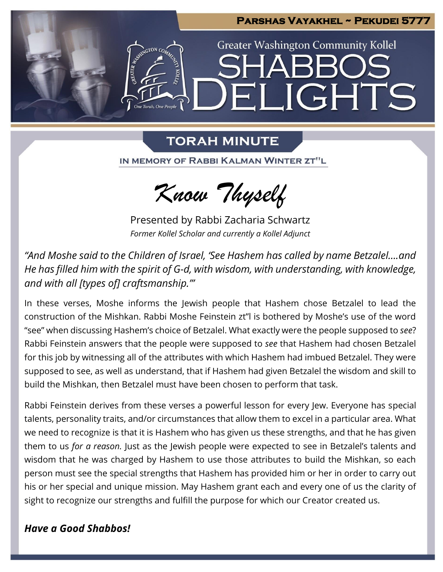

# **TORAH MINUTE**

IN MEMORY OF RABBI KALMAN WINTER ZT"L



Presented by Rabbi Zacharia Schwartz *Former Kollel Scholar and currently a Kollel Adjunct*

*"And Moshe said to the Children of Israel, 'See Hashem has called by name Betzalel….and He has filled him with the spirit of G-d, with wisdom, with understanding, with knowledge, and with all [types of] craftsmanship.'"*

In these verses, Moshe informs the Jewish people that Hashem chose Betzalel to lead the construction of the Mishkan. Rabbi Moshe Feinstein zt"l is bothered by Moshe's use of the word "see" when discussing Hashem's choice of Betzalel. What exactly were the people supposed to *see*? Rabbi Feinstein answers that the people were supposed to *see* that Hashem had chosen Betzalel for this job by witnessing all of the attributes with which Hashem had imbued Betzalel. They were supposed to see, as well as understand, that if Hashem had given Betzalel the wisdom and skill to build the Mishkan, then Betzalel must have been chosen to perform that task.

Rabbi Feinstein derives from these verses a powerful lesson for every Jew. Everyone has special talents, personality traits, and/or circumstances that allow them to excel in a particular area. What we need to recognize is that it is Hashem who has given us these strengths, and that he has given them to us *for a reason.* Just as the Jewish people were expected to see in Betzalel's talents and wisdom that he was charged by Hashem to use those attributes to build the Mishkan, so each person must see the special strengths that Hashem has provided him or her in order to carry out his or her special and unique mission. May Hashem grant each and every one of us the clarity of sight to recognize our strengths and fulfill the purpose for which our Creator created us.

## *Have a Good Shabbos!*